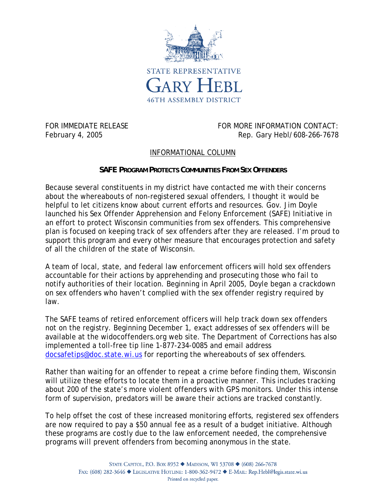

FOR IMMEDIATE RELEASE FOR MORE INFORMATION CONTACT: February 4, 2005 **Rep. Gary Hebl/608-266-7678** 

## INFORMATIONAL COLUMN

## **SAFE PROGRAM PROTECTS COMMUNITIES FROM SEX OFFENDERS**

Because several constituents in my district have contacted me with their concerns about the whereabouts of non-registered sexual offenders, I thought it would be helpful to let citizens know about current efforts and resources. Gov. Jim Doyle launched his Sex Offender Apprehension and Felony Enforcement (SAFE) Initiative in an effort to protect Wisconsin communities from sex offenders. This comprehensive plan is focused on keeping track of sex offenders after they are released. I'm proud to support this program and every other measure that encourages protection and safety of all the children of the state of Wisconsin.

A team of local, state, and federal law enforcement officers will hold sex offenders accountable for their actions by apprehending and prosecuting those who fail to notify authorities of their location. Beginning in April 2005, Doyle began a crackdown on sex offenders who haven't complied with the sex offender registry required by law.

The SAFE teams of retired enforcement officers will help track down sex offenders not on the registry. Beginning December 1, exact addresses of sex offenders will be available at the widocoffenders.org web site. The Department of Corrections has also implemented a toll-free tip line 1-877-234-0085 and email address docsafetips@doc.state.wi.us for reporting the whereabouts of sex offenders.

Rather than waiting for an offender to repeat a crime before finding them, Wisconsin will utilize these efforts to locate them in a proactive manner. This includes tracking about 200 of the state's more violent offenders with GPS monitors. Under this intense form of supervision, predators will be aware their actions are tracked constantly.

To help offset the cost of these increased monitoring efforts, registered sex offenders are now required to pay a \$50 annual fee as a result of a budget initiative. Although these programs are costly due to the law enforcement needed, the comprehensive programs will prevent offenders from becoming anonymous in the state.